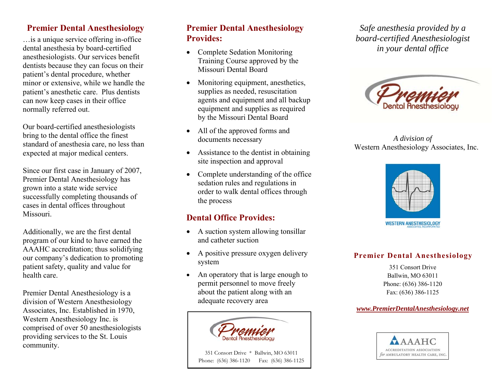#### **Premier Dental Anesthesiology**

…is a unique service offering in-office dental anesthesia by board-certified anesthesiologists. Our services benefit dentists because they can focus on their patient's dental procedure, whether minor or extensive, while we handle the patient's anesthetic care. Plus dentists can now keep cases in their office normally referred out.

Our board-certified anesthesiologists bring to the dental office the finest standard of anesthesia care, no less than expected at major medical centers.

Since our first case in January of 2007, Premier Dental Anesthesiology has grown into a state wide service successfully completing thousands of cases in dental offices throughout Missouri.

Additionally, we are the first dental program of our kind to have earned the AAAHC accreditation; thus solidifying our company's dedication to promoting patient safety, quality and value for health care.

Premier Dental Anesthesiology is a division of Western Anesthesiology Associates, Inc. Established in 1970, Western Anesthesiology Inc. is comprised of over 50 anesthesiologists providing services to the St. Louis community.

## **Premier Dental Anesthesiology Provides:**

- Complete Sedation Monitoring Training Course approved by the Missouri Dental Board
- Monitoring equipment, anesthetics, supplies as needed, resuscitation agents and equipment and all backup equipment and supplies as required by the Missouri Dental Board
- All of the approved forms and documents necessary
- Assistance to the dentist in obtaining site inspection and approval
- $\bullet$  Complete understanding of the office sedation rules and regulations in order to walk dental offices through the process

## **Dental Office Provides:**

- A suction system allowing tonsillar and catheter suction
- A positive pressure oxygen delivery system
- . An operatory that is large enough to permit personnel to move freely about the patient along with an adequate recovery area



 351 Consort Drive \* Ballwin, MO 63011 Phone: (636) 386-1120 Fax: (636) 386-1125

*Safe anesthesia provided by a board-certified Anesthesiologist in your dental office* 



*A division of*  Western Anesthesiology Associates, Inc.



#### **Premier Dental Anesthesiology**

351 Consort Drive Ballwin, MO 63011 Phone: (636) 386-1120 Fax: (636) 386-1125

#### *www.PremierDentalAnesthesiology.net*